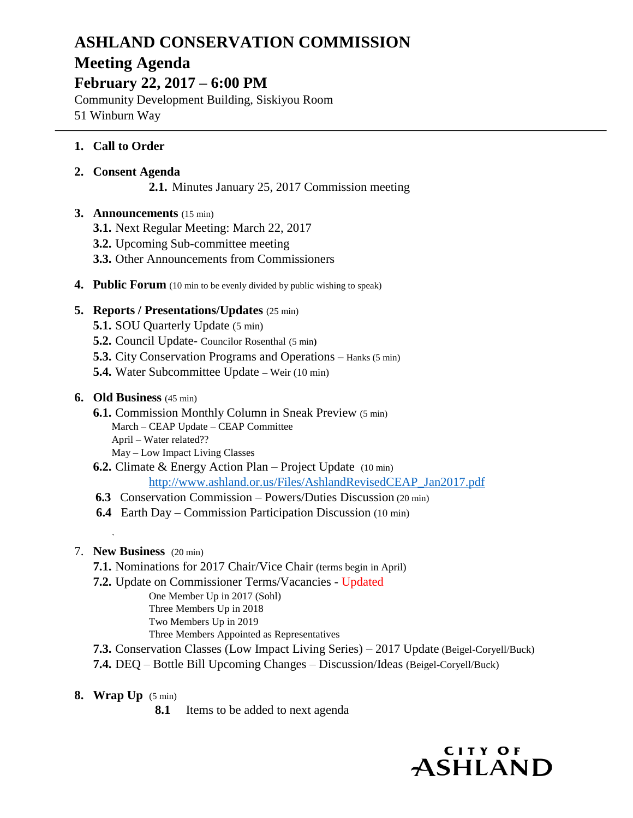# **ASHLAND CONSERVATION COMMISSION Meeting Agenda**

**February 22, 2017 – 6:00 PM**

Community Development Building, Siskiyou Room 51 Winburn Way

## **1. Call to Order**

## **2. Consent Agenda**

**2.1.** Minutes January 25, 2017 Commission meeting

## **3. Announcements** (15 min)

- **3.1.** Next Regular Meeting: March 22, 2017
- **3.2.** Upcoming Sub-committee meeting
- **3.3.** Other Announcements from Commissioners
- **4. Public Forum** (10 min to be evenly divided by public wishing to speak)

#### **5. Reports / Presentations/Updates** (25 min)

- **5.1.** SOU Quarterly Update (5 min)
- **5.2.** Council Update- Councilor Rosenthal (5 min**)**
- **5.3.** City Conservation Programs and Operations Hanks (5 min)
- **5.4.** Water Subcommittee Update **–** Weir (10 min)

## **6. Old Business** (45 min)

- **6.1.** Commission Monthly Column in Sneak Preview (5 min) March – CEAP Update – CEAP Committee April – Water related?? May – Low Impact Living Classes
- **6.2.** Climate & Energy Action Plan Project Update (10 min) [http://www.ashland.or.us/Files/AshlandRevisedCEAP\\_Jan2017.pdf](http://www.ashland.or.us/Files/AshlandRevisedCEAP_Jan2017.pdf)
- **6.3** Conservation Commission Powers/Duties Discussion (20 min)
- **6.4** Earth Day Commission Participation Discussion (10 min)

#### 7. **New Business** (20 min)

`

- **7.1.** Nominations for 2017 Chair/Vice Chair (terms begin in April)
- **7.2.** Update on Commissioner Terms/Vacancies Updated
	- One Member Up in 2017 (Sohl) Three Members Up in 2018 Two Members Up in 2019
	- Three Members Appointed as Representatives
- **7.3.** Conservation Classes (Low Impact Living Series) 2017 Update (Beigel-Coryell/Buck)
- **7.4.** DEQ Bottle Bill Upcoming Changes Discussion/Ideas (Beigel-Coryell/Buck)
- **8. Wrap Up** (5 min)
	- **8.1** Items to be added to next agenda

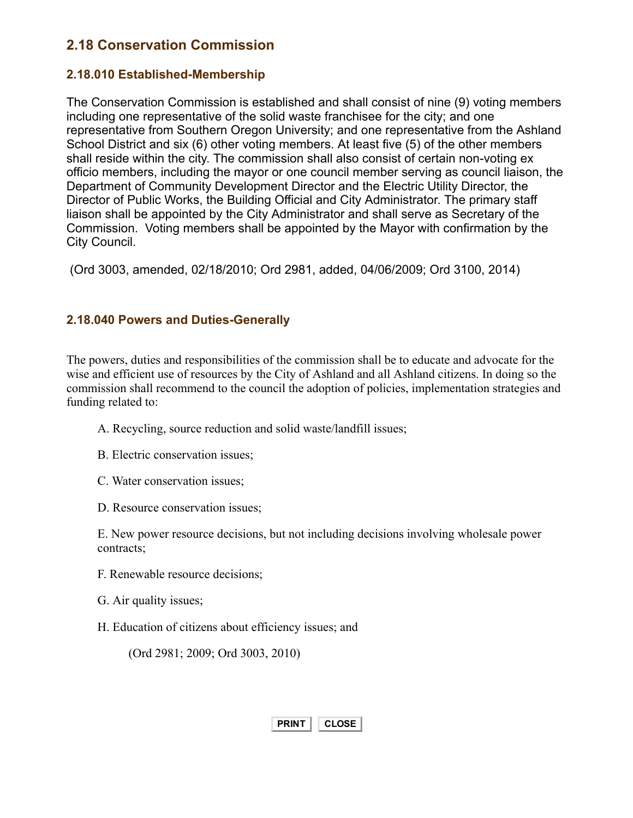## 2.18 Conservation Commission

## 2.18.010 Established-Membership

The Conservation Commission is established and shall consist of nine (9) voting members including one representative of the solid waste franchisee for the city; and one representative from Southern Oregon University; and one representative from the Ashland School District and six (6) other voting members. At least five (5) of the other members shall reside within the city. The commission shall also consist of certain non-voting ex officio members, including the mayor or one council member serving as council liaison, the Department of Community Development Director and the Electric Utility Director, the Director of Public Works, the Building Official and City Administrator. The primary staff liaison shall be appointed by the City Administrator and shall serve as Secretary of the Commission. Voting members shall be appointed by the Mayor with confirmation by the City Council.

(Ord 3003, amended, 02/18/2010; Ord 2981, added, 04/06/2009; Ord 3100, 2014)

## 2.18.040 Powers and Duties-Generally

The powers, duties and responsibilities of the commission shall be to educate and advocate for the wise and efficient use of resources by the City of Ashland and all Ashland citizens. In doing so the commission shall recommend to the council the adoption of policies, implementation strategies and funding related to:

- A. Recycling, source reduction and solid waste/landfill issues;
- B. Electric conservation issues;
- C. Water conservation issues;
- D. Resource conservation issues;

E. New power resource decisions, but not including decisions involving wholesale power contracts;

- F. Renewable resource decisions;
- G. Air quality issues;
- H. Education of citizens about efficiency issues; and

(Ord 2981; 2009; Ord 3003, 2010)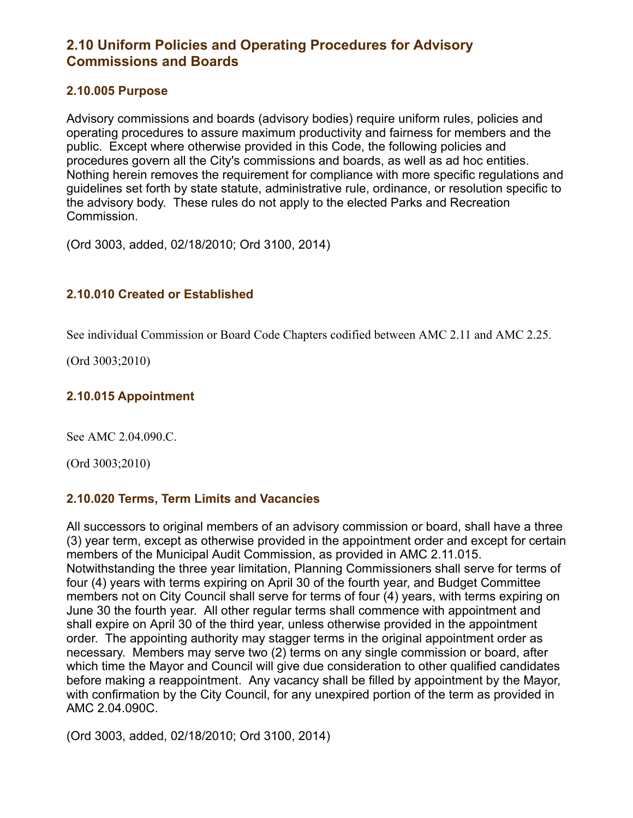## 2.10 Uniform Policies and Operating Procedures for Advisory Commissions and Boards

#### 2.10.005 Purpose

Advisory commissions and boards (advisory bodies) require uniform rules, policies and operating procedures to assure maximum productivity and fairness for members and the public. Except where otherwise provided in this Code, the following policies and procedures govern all the City's commissions and boards, as well as ad hoc entities. Nothing herein removes the requirement for compliance with more specific regulations and guidelines set forth by state statute, administrative rule, ordinance, or resolution specific to the advisory body. These rules do not apply to the elected Parks and Recreation Commission.

(Ord 3003, added, 02/18/2010; Ord 3100, 2014)

## 2.10.010 Created or Established

See individual Commission or Board Code Chapters codified between AMC 2.11 and AMC 2.25.

(Ord 3003;2010)

## 2.10.015 Appointment

See AMC 2.04.090.C.

(Ord 3003;2010)

## 2.10.020 Terms, Term Limits and Vacancies

All successors to original members of an advisory commission or board, shall have a three (3) year term, except as otherwise provided in the appointment order and except for certain members of the Municipal Audit Commission, as provided in AMC 2.11.015. Notwithstanding the three year limitation, Planning Commissioners shall serve for terms of four (4) years with terms expiring on April 30 of the fourth year, and Budget Committee members not on City Council shall serve for terms of four (4) years, with terms expiring on June 30 the fourth year. All other regular terms shall commence with appointment and shall expire on April 30 of the third year, unless otherwise provided in the appointment order. The appointing authority may stagger terms in the original appointment order as necessary. Members may serve two (2) terms on any single commission or board, after which time the Mayor and Council will give due consideration to other qualified candidates before making a reappointment. Any vacancy shall be filled by appointment by the Mayor, with confirmation by the City Council, for any unexpired portion of the term as provided in AMC 2.04.090C.

(Ord 3003, added, 02/18/2010; Ord 3100, 2014)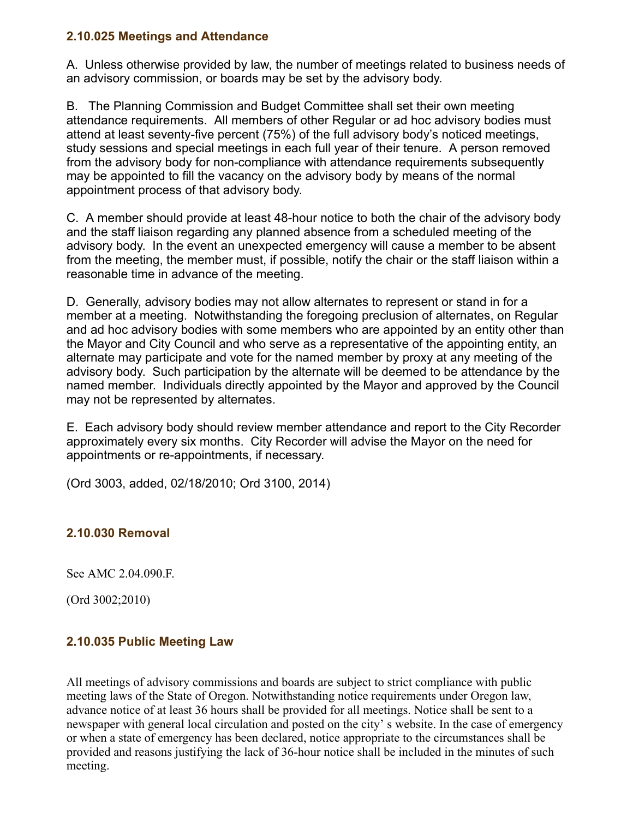#### 2.10.025 Meetings and Attendance

A. Unless otherwise provided by law, the number of meetings related to business needs of an advisory commission, or boards may be set by the advisory body.

B. The Planning Commission and Budget Committee shall set their own meeting attendance requirements. All members of other Regular or ad hoc advisory bodies must attend at least seventy-five percent (75%) of the full advisory body's noticed meetings, study sessions and special meetings in each full year of their tenure. A person removed from the advisory body for non-compliance with attendance requirements subsequently may be appointed to fill the vacancy on the advisory body by means of the normal appointment process of that advisory body.

C. A member should provide at least 48-hour notice to both the chair of the advisory body and the staff liaison regarding any planned absence from a scheduled meeting of the advisory body. In the event an unexpected emergency will cause a member to be absent from the meeting, the member must, if possible, notify the chair or the staff liaison within a reasonable time in advance of the meeting.

D. Generally, advisory bodies may not allow alternates to represent or stand in for a member at a meeting. Notwithstanding the foregoing preclusion of alternates, on Regular and ad hoc advisory bodies with some members who are appointed by an entity other than the Mayor and City Council and who serve as a representative of the appointing entity, an alternate may participate and vote for the named member by proxy at any meeting of the advisory body. Such participation by the alternate will be deemed to be attendance by the named member. Individuals directly appointed by the Mayor and approved by the Council may not be represented by alternates.

E. Each advisory body should review member attendance and report to the City Recorder approximately every six months. City Recorder will advise the Mayor on the need for appointments or re-appointments, if necessary.

(Ord 3003, added, 02/18/2010; Ord 3100, 2014)

## 2.10.030 Removal

See AMC 2.04.090.F.

(Ord 3002;2010)

#### 2.10.035 Public Meeting Law

All meetings of advisory commissions and boards are subject to strict compliance with public meeting laws of the State of Oregon. Notwithstanding notice requirements under Oregon law, advance notice of at least 36 hours shall be provided for all meetings. Notice shall be sent to a newspaper with general local circulation and posted on the city' s website. In the case of emergency or when a state of emergency has been declared, notice appropriate to the circumstances shall be provided and reasons justifying the lack of 36-hour notice shall be included in the minutes of such meeting.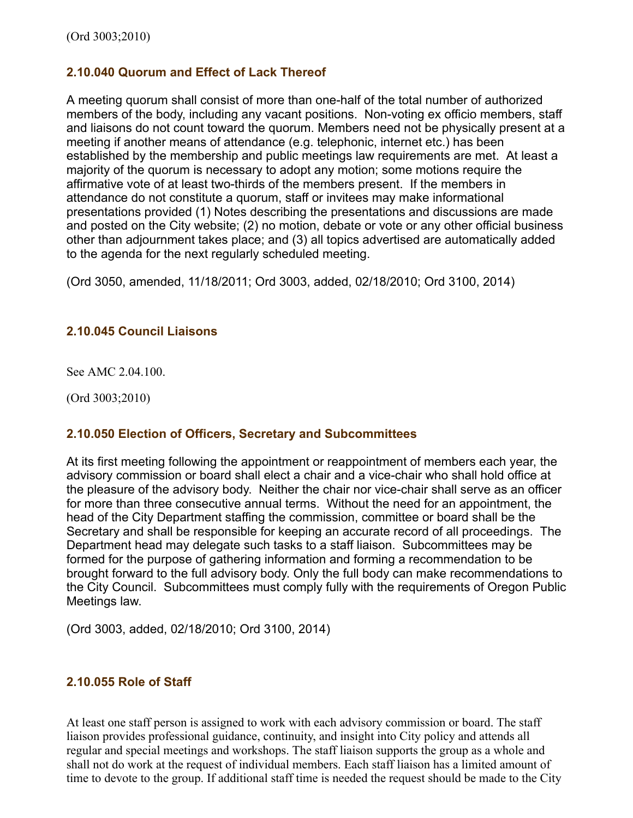## 2.10.040 Quorum and Effect of Lack Thereof

A meeting quorum shall consist of more than one-half of the total number of authorized members of the body, including any vacant positions. Non-voting ex officio members, staff and liaisons do not count toward the quorum. Members need not be physically present at a meeting if another means of attendance (e.g. telephonic, internet etc.) has been established by the membership and public meetings law requirements are met. At least a majority of the quorum is necessary to adopt any motion; some motions require the affirmative vote of at least two-thirds of the members present. If the members in attendance do not constitute a quorum, staff or invitees may make informational presentations provided (1) Notes describing the presentations and discussions are made and posted on the City website; (2) no motion, debate or vote or any other official business other than adjournment takes place; and (3) all topics advertised are automatically added to the agenda for the next regularly scheduled meeting.

(Ord 3050, amended, 11/18/2011; Ord 3003, added, 02/18/2010; Ord 3100, 2014)

## 2.10.045 Council Liaisons

See AMC 2.04.100.

(Ord 3003;2010)

#### 2.10.050 Election of Officers, Secretary and Subcommittees

At its first meeting following the appointment or reappointment of members each year, the advisory commission or board shall elect a chair and a vice-chair who shall hold office at the pleasure of the advisory body. Neither the chair nor vice-chair shall serve as an officer for more than three consecutive annual terms. Without the need for an appointment, the head of the City Department staffing the commission, committee or board shall be the Secretary and shall be responsible for keeping an accurate record of all proceedings. The Department head may delegate such tasks to a staff liaison. Subcommittees may be formed for the purpose of gathering information and forming a recommendation to be brought forward to the full advisory body. Only the full body can make recommendations to the City Council. Subcommittees must comply fully with the requirements of Oregon Public Meetings law.

(Ord 3003, added, 02/18/2010; Ord 3100, 2014)

#### 2.10.055 Role of Staff

At least one staff person is assigned to work with each advisory commission or board. The staff liaison provides professional guidance, continuity, and insight into City policy and attends all regular and special meetings and workshops. The staff liaison supports the group as a whole and shall not do work at the request of individual members. Each staff liaison has a limited amount of time to devote to the group. If additional staff time is needed the request should be made to the City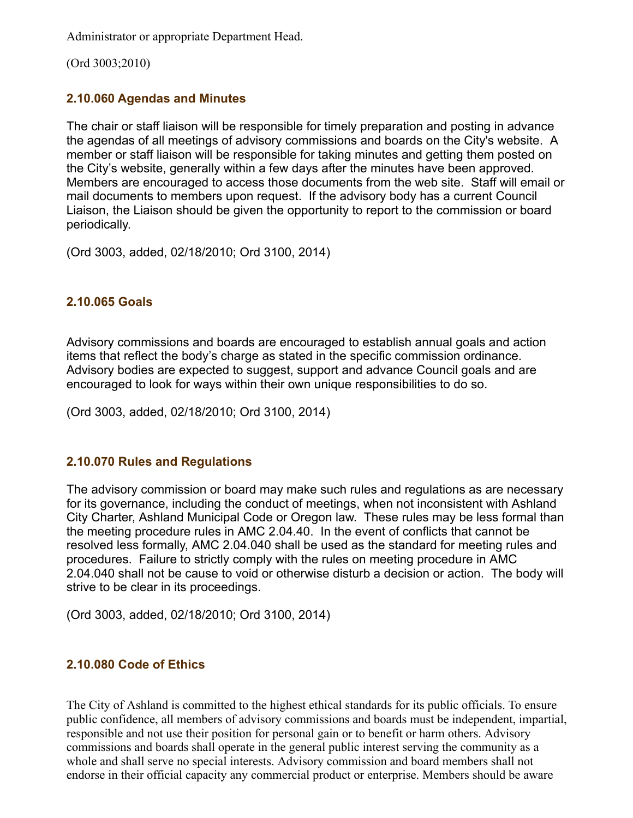Administrator or appropriate Department Head.

(Ord 3003;2010)

## 2.10.060 Agendas and Minutes

The chair or staff liaison will be responsible for timely preparation and posting in advance the agendas of all meetings of advisory commissions and boards on the City's website. A member or staff liaison will be responsible for taking minutes and getting them posted on the City's website, generally within a few days after the minutes have been approved. Members are encouraged to access those documents from the web site. Staff will email or mail documents to members upon request. If the advisory body has a current Council Liaison, the Liaison should be given the opportunity to report to the commission or board periodically.

(Ord 3003, added, 02/18/2010; Ord 3100, 2014)

## 2.10.065 Goals

Advisory commissions and boards are encouraged to establish annual goals and action items that reflect the body's charge as stated in the specific commission ordinance. Advisory bodies are expected to suggest, support and advance Council goals and are encouraged to look for ways within their own unique responsibilities to do so.

(Ord 3003, added, 02/18/2010; Ord 3100, 2014)

## 2.10.070 Rules and Regulations

The advisory commission or board may make such rules and regulations as are necessary for its governance, including the conduct of meetings, when not inconsistent with Ashland City Charter, Ashland Municipal Code or Oregon law. These rules may be less formal than the meeting procedure rules in AMC 2.04.40. In the event of conflicts that cannot be resolved less formally, AMC 2.04.040 shall be used as the standard for meeting rules and procedures. Failure to strictly comply with the rules on meeting procedure in AMC 2.04.040 shall not be cause to void or otherwise disturb a decision or action. The body will strive to be clear in its proceedings.

(Ord 3003, added, 02/18/2010; Ord 3100, 2014)

## 2.10.080 Code of Ethics

The City of Ashland is committed to the highest ethical standards for its public officials. To ensure public confidence, all members of advisory commissions and boards must be independent, impartial, responsible and not use their position for personal gain or to benefit or harm others. Advisory commissions and boards shall operate in the general public interest serving the community as a whole and shall serve no special interests. Advisory commission and board members shall not endorse in their official capacity any commercial product or enterprise. Members should be aware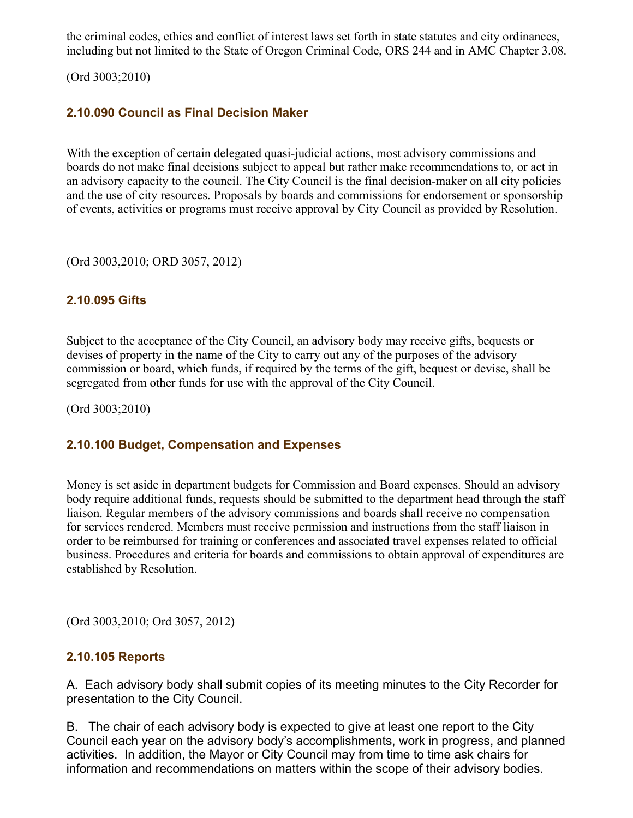the criminal codes, ethics and conflict of interest laws set forth in state statutes and city ordinances, including but not limited to the State of Oregon Criminal Code, ORS 244 and in AMC Chapter 3.08.

(Ord 3003;2010)

## 2.10.090 Council as Final Decision Maker

With the exception of certain delegated quasi-judicial actions, most advisory commissions and boards do not make final decisions subject to appeal but rather make recommendations to, or act in an advisory capacity to the council. The City Council is the final decision-maker on all city policies and the use of city resources. Proposals by boards and commissions for endorsement or sponsorship of events, activities or programs must receive approval by City Council as provided by Resolution.

(Ord 3003,2010; ORD 3057, 2012)

## 2.10.095 Gifts

Subject to the acceptance of the City Council, an advisory body may receive gifts, bequests or devises of property in the name of the City to carry out any of the purposes of the advisory commission or board, which funds, if required by the terms of the gift, bequest or devise, shall be segregated from other funds for use with the approval of the City Council.

(Ord 3003;2010)

#### 2.10.100 Budget, Compensation and Expenses

Money is set aside in department budgets for Commission and Board expenses. Should an advisory body require additional funds, requests should be submitted to the department head through the staff liaison. Regular members of the advisory commissions and boards shall receive no compensation for services rendered. Members must receive permission and instructions from the staff liaison in order to be reimbursed for training or conferences and associated travel expenses related to official business. Procedures and criteria for boards and commissions to obtain approval of expenditures are established by Resolution.

(Ord 3003,2010; Ord 3057, 2012)

#### 2.10.105 Reports

A. Each advisory body shall submit copies of its meeting minutes to the City Recorder for presentation to the City Council.

B. The chair of each advisory body is expected to give at least one report to the City Council each year on the advisory body's accomplishments, work in progress, and planned activities. In addition, the Mayor or City Council may from time to time ask chairs for information and recommendations on matters within the scope of their advisory bodies.